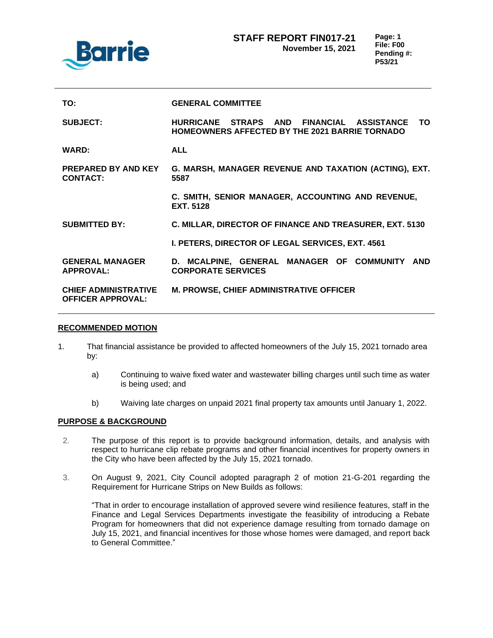

| TO:                                                     | <b>GENERAL COMMITTEE</b>                                                                                  |
|---------------------------------------------------------|-----------------------------------------------------------------------------------------------------------|
| <b>SUBJECT:</b>                                         | HURRICANE STRAPS AND FINANCIAL ASSISTANCE<br>TO.<br><b>HOMEOWNERS AFFECTED BY THE 2021 BARRIE TORNADO</b> |
| <b>WARD:</b>                                            | <b>ALL</b>                                                                                                |
| <b>PREPARED BY AND KEY</b><br><b>CONTACT:</b>           | G. MARSH, MANAGER REVENUE AND TAXATION (ACTING), EXT.<br>5587                                             |
|                                                         | C. SMITH, SENIOR MANAGER, ACCOUNTING AND REVENUE,<br><b>EXT. 5128</b>                                     |
| <b>SUBMITTED BY:</b>                                    | C. MILLAR, DIRECTOR OF FINANCE AND TREASURER, EXT. 5130                                                   |
|                                                         | I. PETERS, DIRECTOR OF LEGAL SERVICES, EXT. 4561                                                          |
| <b>GENERAL MANAGER</b><br><b>APPROVAL:</b>              | D. MCALPINE, GENERAL MANAGER OF COMMUNITY<br><b>AND</b><br><b>CORPORATE SERVICES</b>                      |
| <b>CHIEF ADMINISTRATIVE</b><br><b>OFFICER APPROVAL:</b> | <b>M. PROWSE, CHIEF ADMINISTRATIVE OFFICER</b>                                                            |

#### **RECOMMENDED MOTION**

- 1. That financial assistance be provided to affected homeowners of the July 15, 2021 tornado area by:
	- a) Continuing to waive fixed water and wastewater billing charges until such time as water is being used; and
	- b) Waiving late charges on unpaid 2021 final property tax amounts until January 1, 2022.

### **PURPOSE & BACKGROUND**

- 2. The purpose of this report is to provide background information, details, and analysis with respect to hurricane clip rebate programs and other financial incentives for property owners in the City who have been affected by the July 15, 2021 tornado.
- 3. On August 9, 2021, City Council adopted paragraph 2 of motion 21-G-201 regarding the Requirement for Hurricane Strips on New Builds as follows:

"That in order to encourage installation of approved severe wind resilience features, staff in the Finance and Legal Services Departments investigate the feasibility of introducing a Rebate Program for homeowners that did not experience damage resulting from tornado damage on July 15, 2021, and financial incentives for those whose homes were damaged, and report back to General Committee."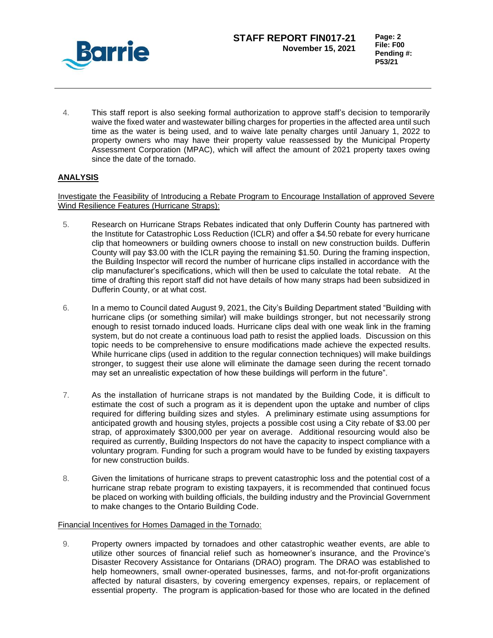

4. This staff report is also seeking formal authorization to approve staff's decision to temporarily waive the fixed water and wastewater billing charges for properties in the affected area until such time as the water is being used, and to waive late penalty charges until January 1, 2022 to property owners who may have their property value reassessed by the Municipal Property Assessment Corporation (MPAC), which will affect the amount of 2021 property taxes owing since the date of the tornado.

# **ANALYSIS**

Investigate the Feasibility of Introducing a Rebate Program to Encourage Installation of approved Severe Wind Resilience Features (Hurricane Straps):

- 5. Research on Hurricane Straps Rebates indicated that only Dufferin County has partnered with the Institute for Catastrophic Loss Reduction (ICLR) and offer a \$4.50 rebate for every hurricane clip that homeowners or building owners choose to install on new construction builds. Dufferin County will pay \$3.00 with the ICLR paying the remaining \$1.50. During the framing inspection, the Building Inspector will record the number of hurricane clips installed in accordance with the clip manufacturer's specifications, which will then be used to calculate the total rebate. At the time of drafting this report staff did not have details of how many straps had been subsidized in Dufferin County, or at what cost.
- 6. In a memo to Council dated August 9, 2021, the City's Building Department stated "Building with hurricane clips (or something similar) will make buildings stronger, but not necessarily strong enough to resist tornado induced loads. Hurricane clips deal with one weak link in the framing system, but do not create a continuous load path to resist the applied loads. Discussion on this topic needs to be comprehensive to ensure modifications made achieve the expected results. While hurricane clips (used in addition to the regular connection techniques) will make buildings stronger, to suggest their use alone will eliminate the damage seen during the recent tornado may set an unrealistic expectation of how these buildings will perform in the future".
- 7. As the installation of hurricane straps is not mandated by the Building Code, it is difficult to estimate the cost of such a program as it is dependent upon the uptake and number of clips required for differing building sizes and styles. A preliminary estimate using assumptions for anticipated growth and housing styles, projects a possible cost using a City rebate of \$3.00 per strap, of approximately \$300,000 per year on average. Additional resourcing would also be required as currently, Building Inspectors do not have the capacity to inspect compliance with a voluntary program. Funding for such a program would have to be funded by existing taxpayers for new construction builds.
- 8. Given the limitations of hurricane straps to prevent catastrophic loss and the potential cost of a hurricane strap rebate program to existing taxpayers, it is recommended that continued focus be placed on working with building officials, the building industry and the Provincial Government to make changes to the Ontario Building Code.

### Financial Incentives for Homes Damaged in the Tornado:

9. Property owners impacted by tornadoes and other catastrophic weather events, are able to utilize other sources of financial relief such as homeowner's insurance, and the Province's Disaster Recovery Assistance for Ontarians (DRAO) program. The DRAO was established to help homeowners, small owner-operated businesses, farms, and not-for-profit organizations affected by natural disasters, by covering emergency expenses, repairs, or replacement of essential property. The program is application-based for those who are located in the defined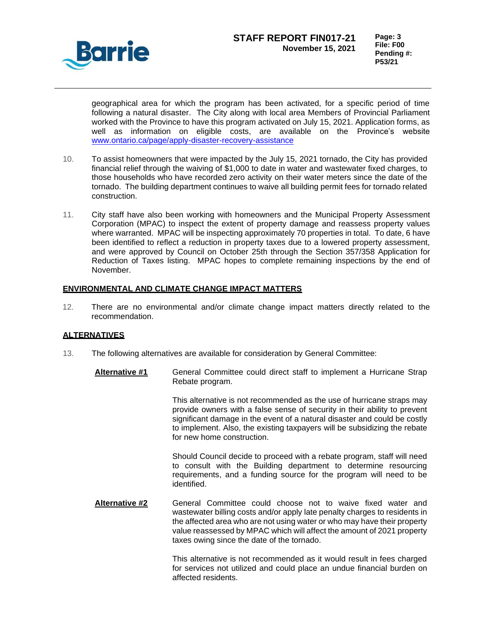

geographical area for which the program has been activated, for a specific period of time following a natural disaster. The City along with local area Members of Provincial Parliament worked with the Province to have this program activated on July 15, 2021. Application forms, as well as information on eligible costs, are available on the Province's website [www.ontario.ca/page/apply-disaster-recovery-assistance](http://www.ontario.ca/page/apply-disaster-recovery-assistance)

- 10. To assist homeowners that were impacted by the July 15, 2021 tornado, the City has provided financial relief through the waiving of \$1,000 to date in water and wastewater fixed charges, to those households who have recorded zero activity on their water meters since the date of the tornado. The building department continues to waive all building permit fees for tornado related construction.
- 11. City staff have also been working with homeowners and the Municipal Property Assessment Corporation (MPAC) to inspect the extent of property damage and reassess property values where warranted. MPAC will be inspecting approximately 70 properties in total. To date, 6 have been identified to reflect a reduction in property taxes due to a lowered property assessment, and were approved by Council on October 25th through the Section 357/358 Application for Reduction of Taxes listing. MPAC hopes to complete remaining inspections by the end of November.

## **ENVIRONMENTAL AND CLIMATE CHANGE IMPACT MATTERS**

12. There are no environmental and/or climate change impact matters directly related to the recommendation.

### **ALTERNATIVES**

- 13. The following alternatives are available for consideration by General Committee:
	- **Alternative #1** General Committee could direct staff to implement a Hurricane Strap Rebate program.

This alternative is not recommended as the use of hurricane straps may provide owners with a false sense of security in their ability to prevent significant damage in the event of a natural disaster and could be costly to implement. Also, the existing taxpayers will be subsidizing the rebate for new home construction.

Should Council decide to proceed with a rebate program, staff will need to consult with the Building department to determine resourcing requirements, and a funding source for the program will need to be identified.

**Alternative #2** General Committee could choose not to waive fixed water and wastewater billing costs and/or apply late penalty charges to residents in the affected area who are not using water or who may have their property value reassessed by MPAC which will affect the amount of 2021 property taxes owing since the date of the tornado.

> This alternative is not recommended as it would result in fees charged for services not utilized and could place an undue financial burden on affected residents.